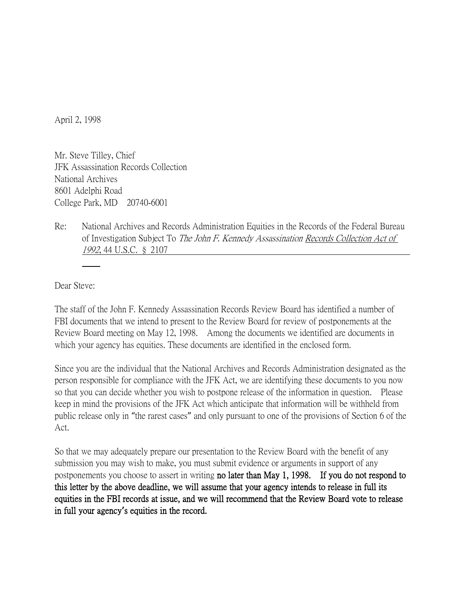April 2, 1998

Mr. Steve Tilley, Chief JFK Assassination Records Collection National Archives 8601 Adelphi Road College Park, MD 20740-6001

Re: National Archives and Records Administration Equities in the Records of the Federal Bureau of Investigation Subject To The John F. Kennedy Assassination Records Collection Act of 1992, 44 U.S.C. § 2107

Dear Steve:

The staff of the John F. Kennedy Assassination Records Review Board has identified a number of FBI documents that we intend to present to the Review Board for review of postponements at the Review Board meeting on May 12, 1998. Among the documents we identified are documents in which your agency has equities. These documents are identified in the enclosed form.

Since you are the individual that the National Archives and Records Administration designated as the person responsible for compliance with the JFK Act, we are identifying these documents to you now so that you can decide whether you wish to postpone release of the information in question. Please keep in mind the provisions of the JFK Act which anticipate that information will be withheld from public release only in "the rarest cases" and only pursuant to one of the provisions of Section 6 of the Act.

So that we may adequately prepare our presentation to the Review Board with the benefit of any submission you may wish to make, you must submit evidence or arguments in support of any postponements you choose to assert in writing no later than May 1, 1998. If you do not respond to this letter by the above deadline, we will assume that your agency intends to release in full its equities in the FBI records at issue, and we will recommend that the Review Board vote to release in full your agency**'**s equities in the record.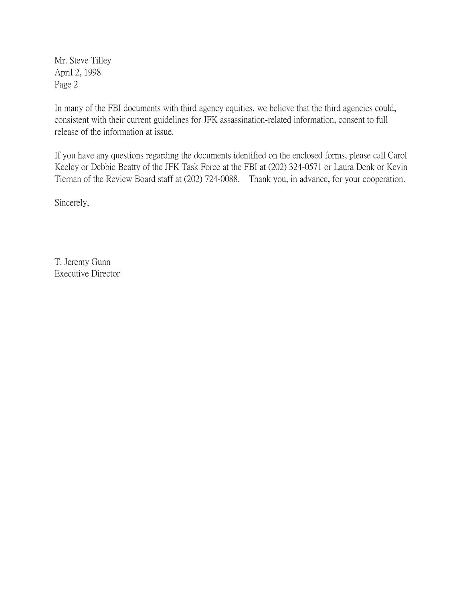Mr. Steve Tilley April 2, 1998 Page 2

In many of the FBI documents with third agency equities, we believe that the third agencies could, consistent with their current guidelines for JFK assassination-related information, consent to full release of the information at issue.

If you have any questions regarding the documents identified on the enclosed forms, please call Carol Keeley or Debbie Beatty of the JFK Task Force at the FBI at (202) 324-0571 or Laura Denk or Kevin Tiernan of the Review Board staff at (202) 724-0088. Thank you, in advance, for your cooperation.

Sincerely,

T. Jeremy Gunn Executive Director